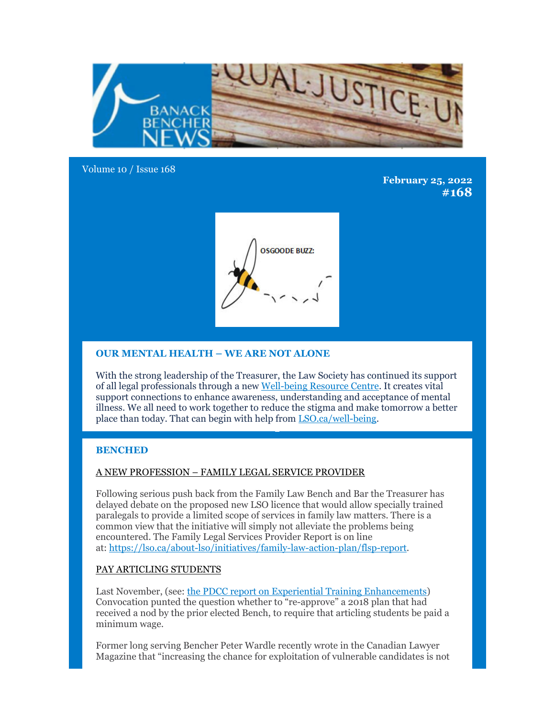

Volume 10 / Issue 168

**February 25, 2022 #168**



# **OUR MENTAL HEALTH – WE ARE NOT ALONE**

With the strong leadership of the Treasurer, the Law Society has continued its support of all legal professionals through a new Well-being Resource Centre. It creates vital support connections to enhance awareness, understanding and acceptance of mental illness. We all need to work together to reduce the stigma and make tomorrow a better place than today. That can begin with help from LSO.ca/well-being.

## **BENCHED**

## A NEW PROFESSION – FAMILY LEGAL SERVICE PROVIDER

Following serious push back from the Family Law Bench and Bar the Treasurer has delayed debate on the proposed new LSO licence that would allow specially trained paralegals to provide a limited scope of services in family law matters. There is a common view that the initiative will simply not alleviate the problems being encountered. The Family Legal Services Provider Report is on line at: https://lso.ca/about-lso/initiatives/family-law-action-plan/flsp-report.

## PAY ARTICLING STUDENTS

Last November, (see: the PDCC report on Experiential Training Enhancements) Convocation punted the question whether to "re-approve" a 2018 plan that had received a nod by the prior elected Bench, to require that articling students be paid a minimum wage.

Former long serving Bencher Peter Wardle recently wrote in the Canadian Lawyer Magazine that "increasing the chance for exploitation of vulnerable candidates is not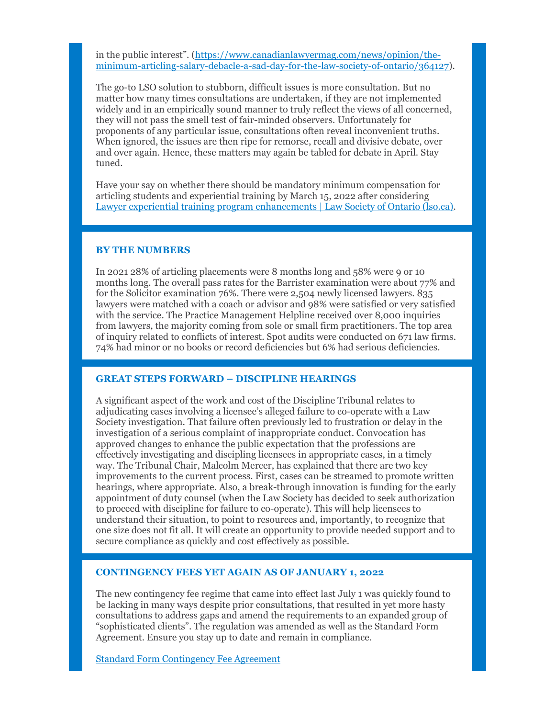in the public interest". (https://www.canadianlawyermag.com/news/opinion/theminimum-articling-salary-debacle-a-sad-day-for-the-law-society-of-ontario/364127).

The go-to LSO solution to stubborn, difficult issues is more consultation. But no matter how many times consultations are undertaken, if they are not implemented widely and in an empirically sound manner to truly reflect the views of all concerned, they will not pass the smell test of fair-minded observers. Unfortunately for proponents of any particular issue, consultations often reveal inconvenient truths. When ignored, the issues are then ripe for remorse, recall and divisive debate, over and over again. Hence, these matters may again be tabled for debate in April. Stay tuned.

Have your say on whether there should be mandatory minimum compensation for articling students and experiential training by March 15, 2022 after considering Lawyer experiential training program enhancements | Law Society of Ontario (lso.ca).

### **BY THE NUMBERS**

In 2021 28% of articling placements were 8 months long and 58% were 9 or 10 months long. The overall pass rates for the Barrister examination were about 77% and for the Solicitor examination 76%. There were 2,504 newly licensed lawyers. 835 lawyers were matched with a coach or advisor and 98% were satisfied or very satisfied with the service. The Practice Management Helpline received over 8,000 inquiries from lawyers, the majority coming from sole or small firm practitioners. The top area of inquiry related to conflicts of interest. Spot audits were conducted on 671 law firms. 74% had minor or no books or record deficiencies but 6% had serious deficiencies.

### **GREAT STEPS FORWARD – DISCIPLINE HEARINGS**

A significant aspect of the work and cost of the Discipline Tribunal relates to adjudicating cases involving a licensee's alleged failure to co-operate with a Law Society investigation. That failure often previously led to frustration or delay in the investigation of a serious complaint of inappropriate conduct. Convocation has approved changes to enhance the public expectation that the professions are effectively investigating and discipling licensees in appropriate cases, in a timely way. The Tribunal Chair, Malcolm Mercer, has explained that there are two key improvements to the current process. First, cases can be streamed to promote written hearings, where appropriate. Also, a break-through innovation is funding for the early appointment of duty counsel (when the Law Society has decided to seek authorization to proceed with discipline for failure to co-operate). This will help licensees to understand their situation, to point to resources and, importantly, to recognize that one size does not fit all. It will create an opportunity to provide needed support and to secure compliance as quickly and cost effectively as possible.

#### **CONTINGENCY FEES YET AGAIN AS OF JANUARY 1, 2022**

The new contingency fee regime that came into effect last July 1 was quickly found to be lacking in many ways despite prior consultations, that resulted in yet more hasty consultations to address gaps and amend the requirements to an expanded group of "sophisticated clients". The regulation was amended as well as the Standard Form Agreement. Ensure you stay up to date and remain in compliance.

Standard Form Contingency Fee Agreement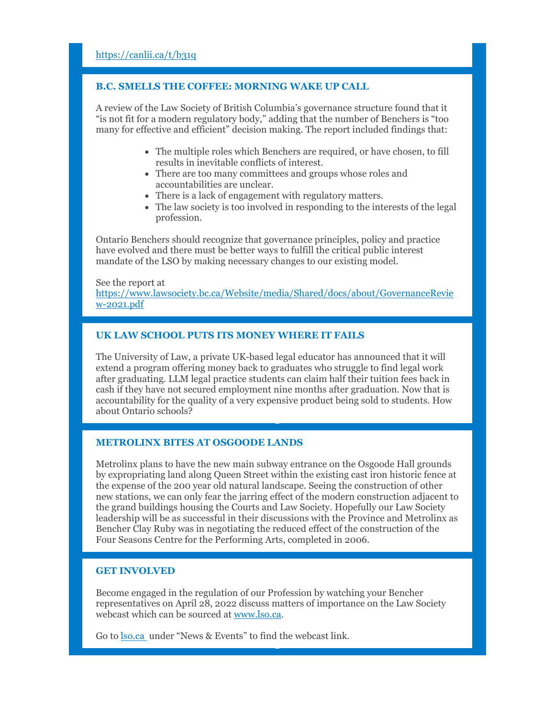### **B.C. SMELLS THE COFFEE: MORNING WAKE UP CALL**

A review of the Law Society of British Columbia's governance structure found that it "is not fit for a modern regulatory body," adding that the number of Benchers is "too many for effective and efficient" decision making. The report included findings that:

- The multiple roles which Benchers are required, or have chosen, to fill results in inevitable conflicts of interest.
- There are too many committees and groups whose roles and accountabilities are unclear.
- There is a lack of engagement with regulatory matters.
- The law society is too involved in responding to the interests of the legal profession.

Ontario Benchers should recognize that governance principles, policy and practice have evolved and there must be better ways to fulfill the critical public interest mandate of the LSO by making necessary changes to our existing model.

See the report at https://www.lawsociety.bc.ca/Website/media/Shared/docs/about/GovernanceRevie w-2021.pdf

## **UK LAW SCHOOL PUTS ITS MONEY WHERE IT FAILS**

The University of Law, a private UK-based legal educator has announced that it will extend a program offering money back to graduates who struggle to find legal work after graduating. LLM legal practice students can claim half their tuition fees back in cash if they have not secured employment nine months after graduation. Now that is accountability for the quality of a very expensive product being sold to students. How about Ontario schools?

### **METROLINX BITES AT OSGOODE LANDS**

Metrolinx plans to have the new main subway entrance on the Osgoode Hall grounds by expropriating land along Queen Street within the existing cast iron historic fence at the expense of the 200 year old natural landscape. Seeing the construction of other new stations, we can only fear the jarring effect of the modern construction adjacent to the grand buildings housing the Courts and Law Society. Hopefully our Law Society leadership will be as successful in their discussions with the Province and Metrolinx as Bencher Clay Ruby was in negotiating the reduced effect of the construction of the Four Seasons Centre for the Performing Arts, completed in 2006.

### **GET INVOLVED**

Become engaged in the regulation of our Profession by watching your Bencher representatives on April 28, 2022 discuss matters of importance on the Law Society webcast which can be sourced at www.lso.ca.

Go to <u>lso.ca</u> under "News & Events" to find the webcast link.